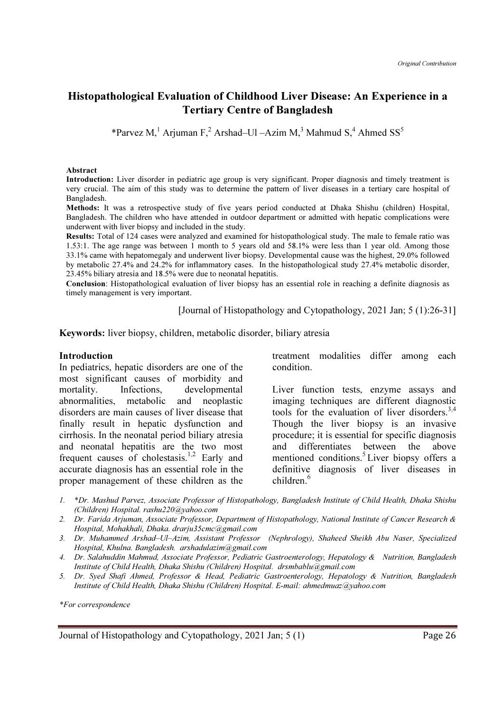# Histopathological Evaluation of Childhood Liver Disease: An Experience in a Tertiary Centre of Bangladesh

\*Parvez M,<sup>1</sup> Arjuman F,<sup>2</sup> Arshad–Ul –Azim M,<sup>3</sup> Mahmud S,<sup>4</sup> Ahmed SS<sup>5</sup>

#### Abstract

Introduction: Liver disorder in pediatric age group is very significant. Proper diagnosis and timely treatment is very crucial. The aim of this study was to determine the pattern of liver diseases in a tertiary care hospital of Bangladesh.

Methods: It was a retrospective study of five years period conducted at Dhaka Shishu (children) Hospital, Bangladesh. The children who have attended in outdoor department or admitted with hepatic complications were underwent with liver biopsy and included in the study.

Results: Total of 124 cases were analyzed and examined for histopathological study. The male to female ratio was 1.53:1. The age range was between 1 month to 5 years old and 58.1% were less than 1 year old. Among those 33.1% came with hepatomegaly and underwent liver biopsy. Developmental cause was the highest, 29.0% followed by metabolic 27.4% and 24.2% for inflammatory cases. In the histopathological study 27.4% metabolic disorder, 23.45% biliary atresia and 18.5% were due to neonatal hepatitis.

Conclusion: Histopathological evaluation of liver biopsy has an essential role in reaching a definite diagnosis as timely management is very important.

[Journal of Histopathology and Cytopathology, 2021 Jan; 5 (1):26-31]

Keywords: liver biopsy, children, metabolic disorder, biliary atresia

#### Introduction

In pediatrics, hepatic disorders are one of the most significant causes of morbidity and mortality. Infections, developmental abnormalities, metabolic and neoplastic disorders are main causes of liver disease that finally result in hepatic dysfunction and cirrhosis. In the neonatal period biliary atresia and neonatal hepatitis are the two most frequent causes of cholestasis.<sup>1,2</sup> Early and accurate diagnosis has an essential role in the proper management of these children as the treatment modalities differ among each condition.

Liver function tests, enzyme assays and imaging techniques are different diagnostic tools for the evaluation of liver disorders.<sup>3,4</sup> Though the liver biopsy is an invasive procedure; it is essential for specific diagnosis and differentiates between the above mentioned conditions.<sup>5</sup>Liver biopsy offers a definitive diagnosis of liver diseases in children.<sup>6</sup>

- 1. \*Dr. Mashud Parvez, Associate Professor of Histopathology, Bangladesh Institute of Child Health, Dhaka Shishu (Children) Hospital. rashu220@yahoo.com
- 2. Dr. Farida Arjuman, Associate Professor, Department of Histopathology, National Institute of Cancer Research & Hospital, Mohakhali, Dhaka. drarju35cmc@gmail.com
- 3. Dr. Muhammed Arshad–Ul–Azim, Assistant Professor (Nephrology), Shaheed Sheikh Abu Naser, Specialized Hospital, Khulna. Bangladesh. arshadulazim@gmail.com
- 4. Dr. Salahuddin Mahmud, Associate Professor, Pediatric Gastroenterology, Hepatology & Nutrition, Bangladesh Institute of Child Health, Dhaka Shishu (Children) Hospital. drsmbablu@gmail.com
- 5. Dr. Syed Shafi Ahmed, Professor & Head, Pediatric Gastroenterology, Hepatology & Nutrition, Bangladesh Institute of Child Health, Dhaka Shishu (Children) Hospital. E-mail: ahmedmuaz@yahoo.com

\*For correspondence

Journal of Histopathology and Cytopathology, 2021 Jan; 5 (1) Page 26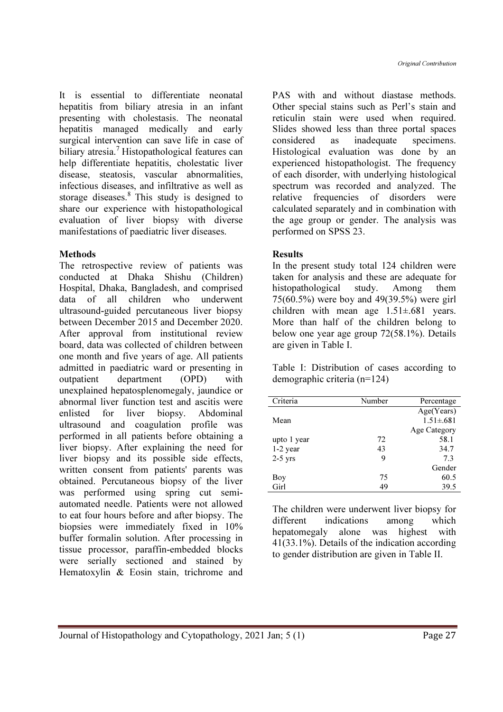It is essential to differentiate neonatal hepatitis from biliary atresia in an infant presenting with cholestasis. The neonatal hepatitis managed medically and early surgical intervention can save life in case of biliary atresia.<sup>7</sup> Histopathological features can help differentiate hepatitis, cholestatic liver disease, steatosis, vascular abnormalities, infectious diseases, and infiltrative as well as storage diseases.<sup>8</sup> This study is designed to share our experience with histopathological evaluation of liver biopsy with diverse manifestations of paediatric liver diseases.

### Methods

The retrospective review of patients was conducted at Dhaka Shishu (Children) Hospital, Dhaka, Bangladesh, and comprised data of all children who underwent ultrasound-guided percutaneous liver biopsy between December 2015 and December 2020. After approval from institutional review board, data was collected of children between one month and five years of age. All patients admitted in paediatric ward or presenting in outpatient department (OPD) with unexplained hepatosplenomegaly, jaundice or abnormal liver function test and ascitis were enlisted for liver biopsy. Abdominal ultrasound and coagulation profile was performed in all patients before obtaining a liver biopsy. After explaining the need for liver biopsy and its possible side effects, written consent from patients' parents was obtained. Percutaneous biopsy of the liver was performed using spring cut semiautomated needle. Patients were not allowed to eat four hours before and after biopsy. The biopsies were immediately fixed in 10% buffer formalin solution. After processing in tissue processor, paraffin-embedded blocks were serially sectioned and stained by Hematoxylin & Eosin stain, trichrome and

PAS with and without diastase methods. Other special stains such as Perl's stain and reticulin stain were used when required. Slides showed less than three portal spaces considered as inadequate specimens. Histological evaluation was done by an experienced histopathologist. The frequency of each disorder, with underlying histological spectrum was recorded and analyzed. The relative frequencies of disorders were calculated separately and in combination with the age group or gender. The analysis was performed on SPSS 23.

### **Results**

In the present study total 124 children were taken for analysis and these are adequate for histopathological study. Among them 75(60.5%) were boy and 49(39.5%) were girl children with mean age 1.51±.681 years. More than half of the children belong to below one year age group 72(58.1%). Details are given in Table I.

Table I: Distribution of cases according to demographic criteria (n=124)

| Criteria    | Number | Percentage      |
|-------------|--------|-----------------|
|             |        | Age(Years)      |
| Mean        |        | $1.51 \pm .681$ |
|             |        | Age Category    |
| upto 1 year | 72     | 58.1            |
| $1-2$ year  | 43     | 34.7            |
| $2-5$ yrs   | 9      | 7.3             |
|             |        | Gender          |
| Boy         | 75     | 60.5            |
| Girl        | 49     | 39.5            |

The children were underwent liver biopsy for different indications among which hepatomegaly alone was highest with 41(33.1%). Details of the indication according to gender distribution are given in Table II.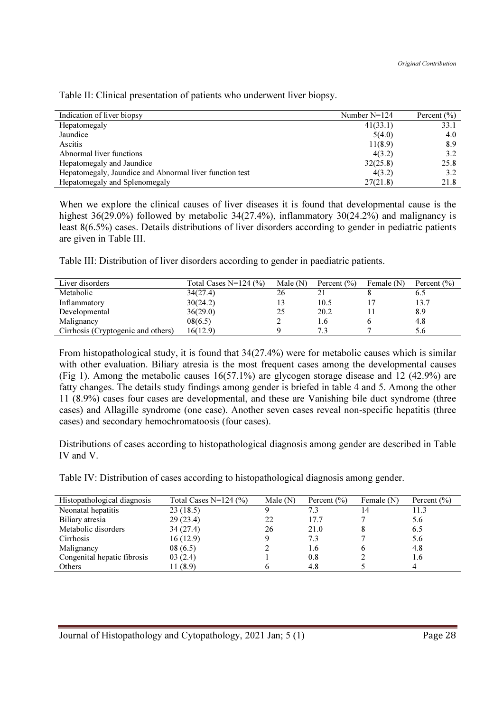| Indication of liver biopsy                              | Number $N=124$ | Percent $(\% )$ |
|---------------------------------------------------------|----------------|-----------------|
| Hepatomegaly                                            | 41(33.1)       | 33.1            |
| Jaundice                                                | 5(4.0)         | 4.0             |
| Ascitis                                                 | 11(8.9)        | 8.9             |
| Abnormal liver functions                                | 4(3.2)         | 3.2             |
| Hepatomegaly and Jaundice                               | 32(25.8)       | 25.8            |
| Hepatomegaly, Jaundice and Abnormal liver function test | 4(3.2)         | 3.2             |
| Hepatomegaly and Splenomegaly                           | 27(21.8)       | 21.8            |
|                                                         |                |                 |

Table II: Clinical presentation of patients who underwent liver biopsy.

When we explore the clinical causes of liver diseases it is found that developmental cause is the highest 36(29.0%) followed by metabolic 34(27.4%), inflammatory 30(24.2%) and malignancy is least 8(6.5%) cases. Details distributions of liver disorders according to gender in pediatric patients are given in Table III.

Table III: Distribution of liver disorders according to gender in paediatric patients.

| Liver disorders                    | Total Cases $N=124$ (%) | Male $(N)$ | Percent $(\% )$ | Female $(N)$ | Percent $(\% )$ |
|------------------------------------|-------------------------|------------|-----------------|--------------|-----------------|
| Metabolic                          | 34(27.4)                | 26         |                 |              | 6.5             |
| Inflammatory                       | 30(24.2)                |            | 10.5            |              | 13.7            |
| Developmental                      | 36(29.0)                | 25         | 20.2            |              | 8.9             |
| Malignancy                         | 08(6.5)                 |            | 1.6             |              | 4.8             |
| Cirrhosis (Cryptogenic and others) | 16(12.9)                |            |                 |              | 5.6             |

From histopathological study, it is found that 34(27.4%) were for metabolic causes which is similar with other evaluation. Biliary atresia is the most frequent cases among the developmental causes (Fig 1). Among the metabolic causes 16(57.1%) are glycogen storage disease and 12 (42.9%) are fatty changes. The details study findings among gender is briefed in table 4 and 5. Among the other 11 (8.9%) cases four cases are developmental, and these are Vanishing bile duct syndrome (three cases) and Allagille syndrome (one case). Another seven cases reveal non-specific hepatitis (three cases) and secondary hemochromatoosis (four cases).

Distributions of cases according to histopathological diagnosis among gender are described in Table IV and V.

Table IV: Distribution of cases according to histopathological diagnosis among gender.

| Histopathological diagnosis | Total Cases N=124 $(\% )$ | Male $(N)$ | Percent $(\% )$ | Female (N) | Percent $(\% )$ |
|-----------------------------|---------------------------|------------|-----------------|------------|-----------------|
| Neonatal hepatitis          | 23(18.5)                  |            | 7.3             | 14         | 11.3            |
| Biliary atresia             | 29(23.4)                  | 22         | 17.7            |            | 5.6             |
| Metabolic disorders         | 34(27.4)                  | 26         | 21.0            |            | 6.5             |
| Cirrhosis                   | 16(12.9)                  |            | 7.3             |            | 5.6             |
| Malignancy                  | 08(6.5)                   |            | 1.6             |            | 4.8             |
| Congenital hepatic fibrosis | 03(2.4)                   |            | 0.8             |            | 1.6             |
| Others                      | 11 (8.9)                  |            | 4.8             |            |                 |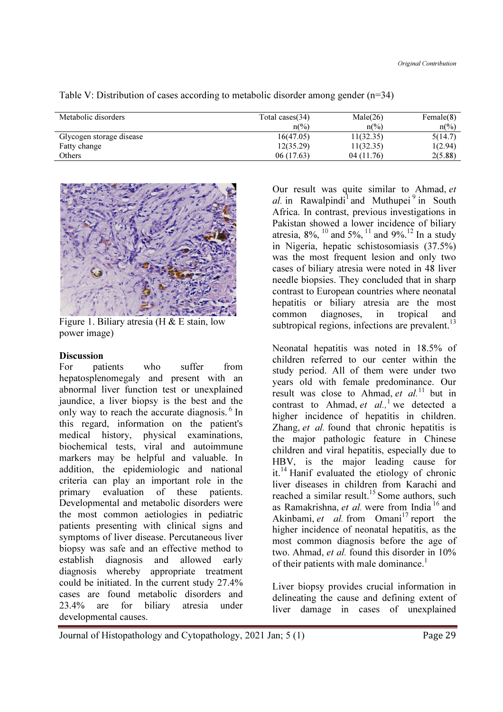| Metabolic disorders      | Male(26)<br>Total cases $(34)$ |                          | Female(8)                |
|--------------------------|--------------------------------|--------------------------|--------------------------|
|                          | $n\frac{\omega}{\omega}$       | $n\frac{\omega}{\omega}$ | $n\frac{\omega}{\omega}$ |
| Glycogen storage disease | 16(47.05)                      | 11(32.35)                | 5(14.7)                  |
| Fatty change             | 12(35.29)                      | 11(32.35)                | 1(2.94)                  |
| Others                   | 06 (17.63)                     | 04 (11.76)               | 2(5.88)                  |

Table V: Distribution of cases according to metabolic disorder among gender  $(n=34)$ 



Figure 1. Biliary atresia (H & E stain, low power image)

#### Discussion

For patients who suffer from hepatosplenomegaly and present with an abnormal liver function test or unexplained jaundice, a liver biopsy is the best and the only way to reach the accurate diagnosis.  $6 \text{ In}$ this regard, information on the patient's medical history, physical examinations, biochemical tests, viral and autoimmune markers may be helpful and valuable. In addition, the epidemiologic and national criteria can play an important role in the primary evaluation of these patients. Developmental and metabolic disorders were the most common aetiologies in pediatric patients presenting with clinical signs and symptoms of liver disease. Percutaneous liver biopsy was safe and an effective method to establish diagnosis and allowed early diagnosis whereby appropriate treatment could be initiated. In the current study 27.4% cases are found metabolic disorders and 23.4% are for biliary atresia under developmental causes.

Our result was quite similar to Ahmad, et al. in Rawalpindi<sup>1</sup> and Muthupei<sup>9</sup> in South Africa. In contrast, previous investigations in Pakistan showed a lower incidence of biliary atresia,  $8\%$ ,  $^{10}$  and  $5\%$ ,  $^{11}$  and  $9\%$ .<sup>12</sup> In a study in Nigeria, hepatic schistosomiasis (37.5%) was the most frequent lesion and only two cases of biliary atresia were noted in 48 liver needle biopsies. They concluded that in sharp contrast to European countries where neonatal hepatitis or biliary atresia are the most<br>common diagnoses, in tropical and diagnoses, in tropical and subtropical regions, infections are prevalent.<sup>13</sup>

Neonatal hepatitis was noted in 18.5% of children referred to our center within the study period. All of them were under two years old with female predominance. Our result was close to Ahmad, et  $al$ <sup>11</sup> but in contrast to Ahmad, et  $al$ , <sup>1</sup> we detected a higher incidence of hepatitis in children. Zhang, et al. found that chronic hepatitis is the major pathologic feature in Chinese children and viral hepatitis, especially due to HBV, is the major leading cause for it.<sup>14</sup> Hanif evaluated the etiology of chronic liver diseases in children from Karachi and reached a similar result.<sup>15</sup> Some authors, such as Ramakrishna, et al. were from India<sup>16</sup> and Akinbami, et al. from  $Omani^{17}$  report the higher incidence of neonatal hepatitis, as the most common diagnosis before the age of two. Ahmad, et al. found this disorder in 10% of their patients with male dominance.<sup>1</sup>

Liver biopsy provides crucial information in delineating the cause and defining extent of liver damage in cases of unexplained

```
Journal of Histopathology and Cytopathology, 2021 Jan; 5 (1) Page 29
```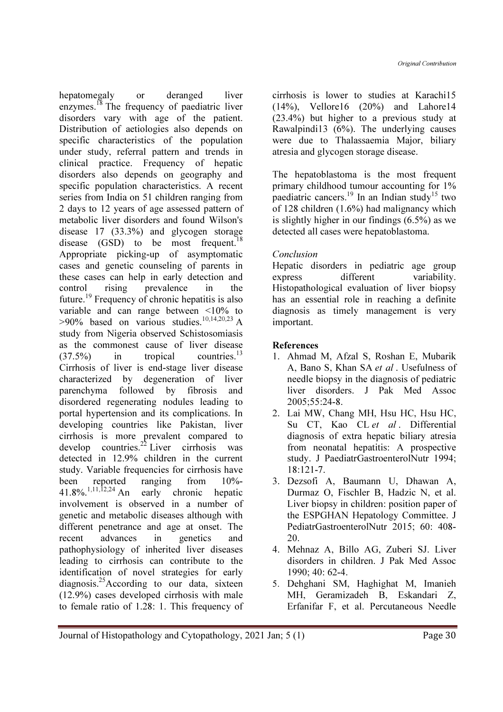hepatomegaly or deranged liver enzymes.<sup>18</sup> The frequency of paediatric liver disorders vary with age of the patient. Distribution of aetiologies also depends on specific characteristics of the population under study, referral pattern and trends in clinical practice. Frequency of hepatic disorders also depends on geography and specific population characteristics. A recent series from India on 51 children ranging from 2 days to 12 years of age assessed pattern of metabolic liver disorders and found Wilson's disease 17 (33.3%) and glycogen storage disease  $(GSD)$  to be most frequent.<sup>18</sup> Appropriate picking-up of asymptomatic cases and genetic counseling of parents in these cases can help in early detection and control rising prevalence in the future.<sup>19</sup> Frequency of chronic hepatitis is also variable and can range between <10% to  $>90\%$  based on various studies.<sup>10,14,20,23</sup> A study from Nigeria observed Schistosomiasis as the commonest cause of liver disease  $(37.5\%)$  in tropical countries.<sup>13</sup> Cirrhosis of liver is end-stage liver disease characterized by degeneration of liver parenchyma followed by fibrosis and disordered regenerating nodules leading to portal hypertension and its complications. In developing countries like Pakistan, liver cirrhosis is more prevalent compared to develop countries.<sup>22</sup> Liver cirrhosis was detected in 12.9% children in the current study. Variable frequencies for cirrhosis have been reported ranging from 10%-  $41.8\%$ .<sup>1,11,12,24</sup> An early chronic hepatic involvement is observed in a number of genetic and metabolic diseases although with different penetrance and age at onset. The recent advances in genetics and pathophysiology of inherited liver diseases leading to cirrhosis can contribute to the identification of novel strategies for early diagnosis.<sup>25</sup>According to our data, sixteen (12.9%) cases developed cirrhosis with male to female ratio of 1.28: 1. This frequency of cirrhosis is lower to studies at Karachi15 (14%), Vellore16 (20%) and Lahore14 (23.4%) but higher to a previous study at Rawalpindi13 (6%). The underlying causes were due to Thalassaemia Major, biliary atresia and glycogen storage disease.

The hepatoblastoma is the most frequent primary childhood tumour accounting for 1% paediatric cancers.<sup>19</sup> In an Indian study<sup>15</sup> two of 128 children (1.6%) had malignancy which is slightly higher in our findings (6.5%) as we detected all cases were hepatoblastoma.

# Conclusion

Hepatic disorders in pediatric age group express different variability. Histopathological evaluation of liver biopsy has an essential role in reaching a definite diagnosis as timely management is very important.

## References

- 1. Ahmad M, Afzal S, Roshan E, Mubarik A, Bano S, Khan SA et al . Usefulness of needle biopsy in the diagnosis of pediatric liver disorders. J Pak Med Assoc 2005;55:24-8.
- 2. Lai MW, Chang MH, Hsu HC, Hsu HC, Su CT, Kao CL et al. Differential diagnosis of extra hepatic biliary atresia from neonatal hepatitis: A prospective study. J PaediatrGastroenterolNutr 1994;  $18.121 - 7$
- 3. Dezsofi A, Baumann U, Dhawan A, Durmaz O, Fischler B, Hadzic N, et al. Liver biopsy in children: position paper of the ESPGHAN Hepatology Committee. J PediatrGastroenterolNutr 2015; 60: 408- 20.
- 4. Mehnaz A, Billo AG, Zuberi SJ. Liver disorders in children. J Pak Med Assoc 1990; 40: 62-4.
- 5. Dehghani SM, Haghighat M, Imanieh MH, Geramizadeh B, Eskandari Z, Erfanifar F, et al. Percutaneous Needle

Journal of Histopathology and Cytopathology, 2021 Jan; 5 (1) Page 30